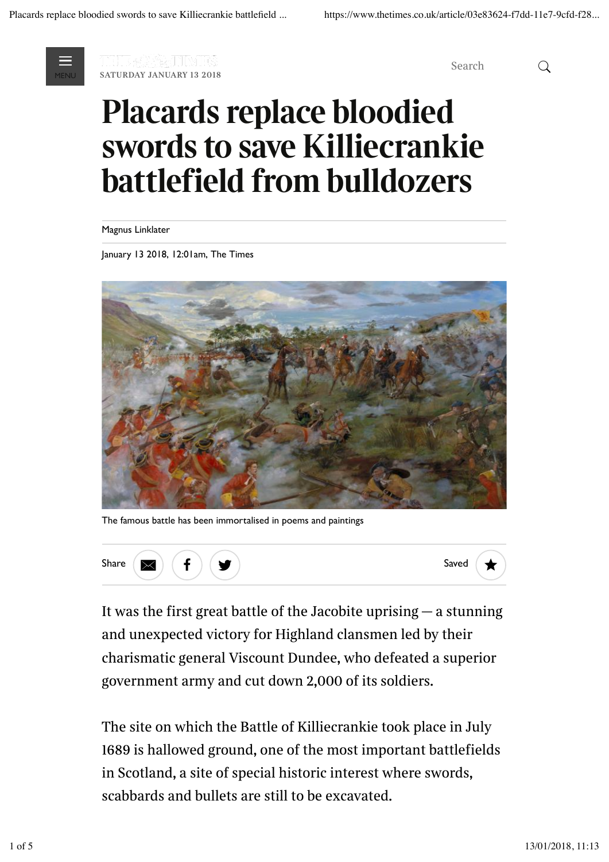

**saturday january 13 2018**<br>MENU % SATURDAY JANUARY 13 2018

*Search*

# **Placards replace bloodied swords to save Killiecrankie battlefield from bulldozers**

Magnus Linklater

January 13 2018, 12:01am, The Times



The famous battle has been immortalised in poems and paintings



*It was the first great battle of the Jacobite uprising — a stunning and unexpected victory for Highland clansmen led by their charismatic general Viscount Dundee, who defeated a superior government army and cut down 2,000 of its soldiers.*

*The site on which the Battle of Killiecrankie took place in July 1689 is hallowed ground, one of the most important battlefields in Scotland, a site of special historic interest where swords, scabbards and bullets are still to be excavated.*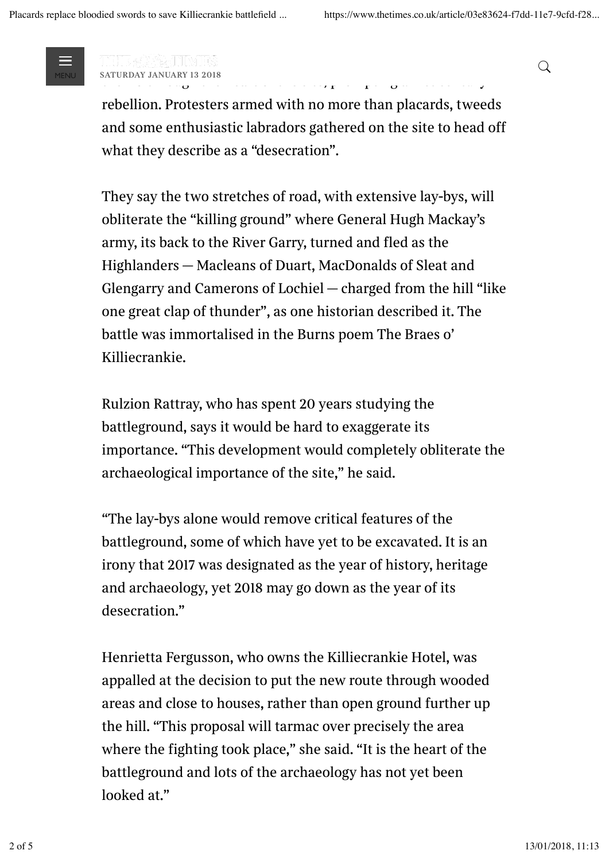

*Plans have been drawn up to drive the new dual carriageway of the A9 through the A9 through the site of the site, prompting a 21st century*<br> *the site case of the site century in the site of the site of the site of the site of the site of the site of the site of the site of the si* MENU *saturday january 13 2018* %

*rebellion. Protesters armed with no more than placards, tweeds* and some enthusiastic labradors gathered on the site to head off *what they describe as a "desecration".*

*They say the two stretches of road, with extensive lay-bys, will obliterate the "killing ground" where General Hugh Mackay's army, its back to the River Garry, turned and fled as the Highlanders — Macleans of Duart, MacDonalds of Sleat and Glengarry and Camerons of Lochiel — charged from the hill "like one great clap of thunder", as one historian described it. The battle was immortalised in the Burns poem The Braes o' Killiecrankie.*

*Rulzion Rattray, who has spent 20 years studying the battleground, says it would be hard to exaggerate its importance. "This development would completely obliterate the archaeological importance of the site," he said.*

*"The lay-bys alone would remove critical features of the battleground, some of which have yet to be excavated. It is an irony that 2017 was designated as the year of history, heritage and archaeology, yet 2018 may go down as the year of its desecration."*

*Henrietta Fergusson, who owns the Killiecrankie Hotel, was appalled at the decision to put the new route through wooded areas and close to houses, rather than open ground further up the hill. "This proposal will tarmac over precisely the area where the fighting took place," she said. "It is the heart of the battleground and lots of the archaeology has not yet been looked at."*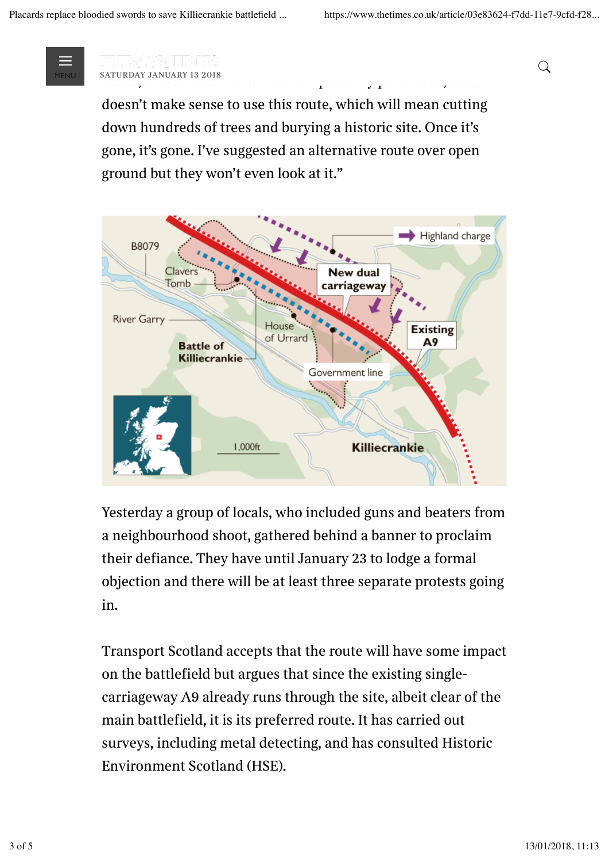

*Daniel Price, who owns House of Urrard, a central feature of the battle, and whose land will be compulsorily purchased, said: "It* MENU *saturday january 13 2018* %

*doesn't make sense to use this route, which will mean cutting down hundreds of trees and burying a historic site. Once it's gone, it's gone. I've suggested an alternative route over open ground but they won't even look at it."*



*Yesterday a group of locals, who included guns and beaters from a neighbourhood shoot, gathered behind a banner to proclaim their defiance. They have until January 23 to lodge a formal objection and there will be at least three separate protests going in.*

*Transport Scotland accepts that the route will have some impact on the battlefield but argues that since the existing singlecarriageway A9 already runs through the site, albeit clear of the main battlefield, it is its preferred route. It has carried out surveys, including metal detecting, and has consulted Historic Environment Scotland (HSE).*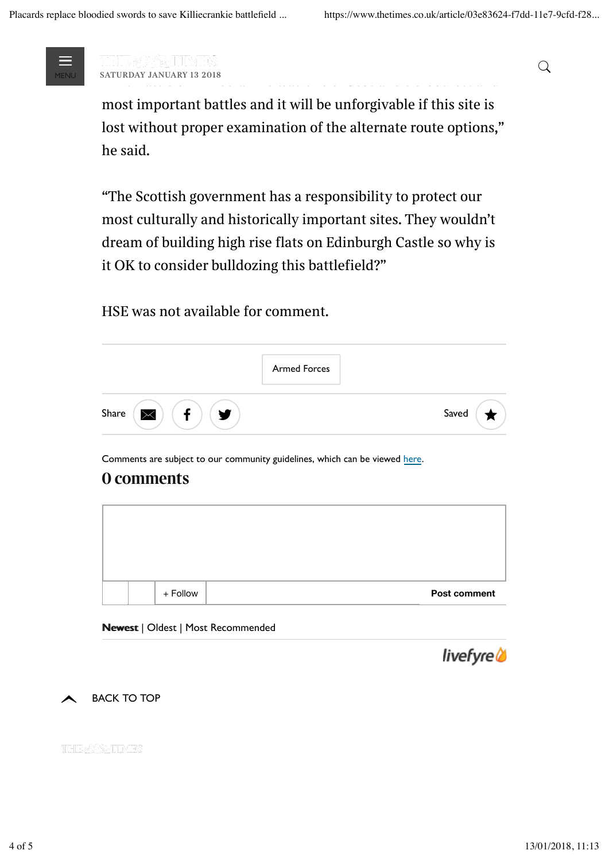

*Murdo Fraser, MSP, said he was shocked at the route chosen. "The Battle of Battle of Battle of Battle of Battle of Scotland's bloodiest and*<br>The Battle of Scotland's bloodiest and Scotland's bloodiest and Scotland's bloodiest and Scotland and Scotland<br>The Battle of Scotland's bloo MENU *saturday january 13 2018* %

*most important battles and it will be unforgivable if this site is lost without proper examination of the alternate route options," he said.*

*"The Scottish government has a responsibility to protect our most culturally and historically important sites. They wouldn't dream of building high rise flats on Edinburgh Castle so why is it OK to consider bulldozing this battlefield?"*

# *HSE was not available for comment.*

|            | <b>Armed Forces</b> |       |
|------------|---------------------|-------|
| Share<br>w |                     | Saved |

Comments are subject to our community guidelines, which can be viewed here.

# **0 comments**



## Newest | Oldest | Most Recommended



**BACK TO TOP** 

THE & BATIMES